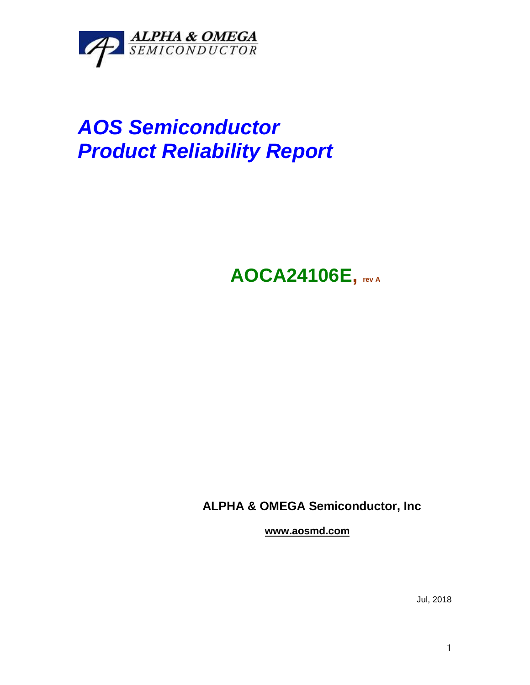

# *AOS Semiconductor Product Reliability Report*

## **AOCA24106E, rev <sup>A</sup>**

### **ALPHA & OMEGA Semiconductor, Inc**

**www.aosmd.com**

Jul, 2018